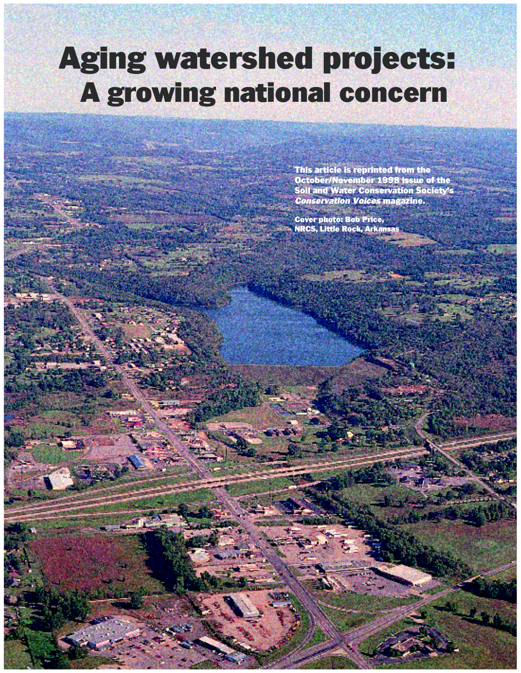# Aging watershed projects: A growing national concern

This article is reprinted from the October/November 1998 issue of the Soil and Water Conservation Society's Conservation Voices magazine.

تتقره فال

Cover photo: Bob Price, NRCS, Little Rock, Arkansas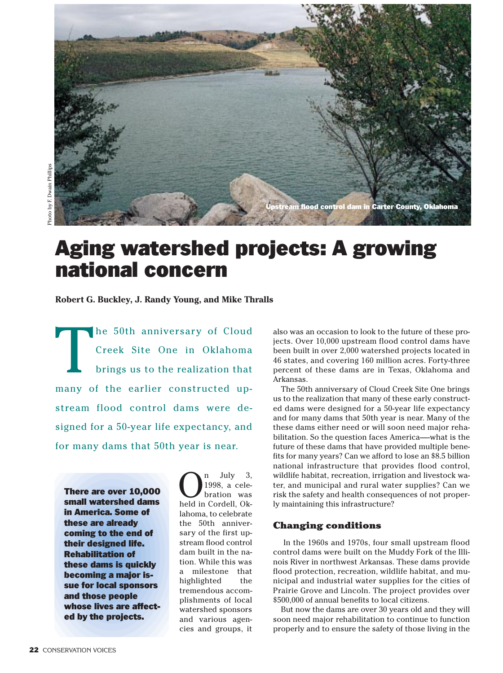

# Aging watershed projects: A growing national concern

**Robert G. Buckley, J. Randy Young, and Mike Thralls**

Ihe 50th anniversary of Cloud Creek Site One in Oklahoma brings us to the realization that many of the earlier constructed upstream flood control dams were designed for a 50-year life expectancy, and for many dams that 50th year is near.

There are over 10,000 small watershed dams in America. Some of these are already coming to the end of their designed life. Rehabilitation of these dams is quickly becoming a major issue for local sponsors and those people whose lives are affected by the projects.

 $\bigcap_{1998, a \text{ cele}}^n$  and  $\bigcap_{\text{bration}}^n$  and  $\bigcap_{\text{bred in Cordell}}^n$ 1998, a celebration was held in Cordell, Oklahoma, to celebrate the 50th anniversary of the first upstream flood control dam built in the nation. While this was a milestone that highlighted the tremendous accomplishments of local watershed sponsors and various agencies and groups, it also was an occasion to look to the future of these projects. Over 10,000 upstream flood control dams have been built in over 2,000 watershed projects located in 46 states, and covering 160 million acres. Forty-three percent of these dams are in Texas, Oklahoma and Arkansas.

The 50th anniversary of Cloud Creek Site One brings us to the realization that many of these early constructed dams were designed for a 50-year life expectancy and for many dams that 50th year is near. Many of the these dams either need or will soon need major rehabilitation. So the question faces America—-what is the future of these dams that have provided multiple benefits for many years? Can we afford to lose an \$8.5 billion national infrastructure that provides flood control, wildlife habitat, recreation, irrigation and livestock water, and municipal and rural water supplies? Can we risk the safety and health consequences of not properly maintaining this infrastructure?

#### **Changing conditions**

In the 1960s and 1970s, four small upstream flood control dams were built on the Muddy Fork of the Illinois River in northwest Arkansas. These dams provide flood protection, recreation, wildlife habitat, and municipal and industrial water supplies for the cities of Prairie Grove and Lincoln. The project provides over \$500,000 of annual benefits to local citizens.

But now the dams are over 30 years old and they will soon need major rehabilitation to continue to function properly and to ensure the safety of those living in the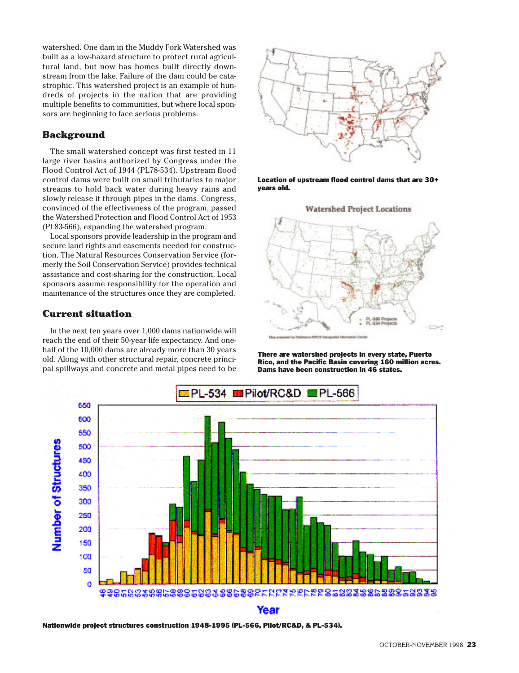watershed. One dam in the Muddy Fork Watershed was built as a low-hazard structure to protect rural agricultural land, but now has homes built directly downstream from the lake. Failure of the dam could be catastrophic. This watershed project is an example of hundreds of projects in the nation that are providing multiple benefits to communities, but where local sponsors are beginning to face serious problems.

#### **Background**

The small watershed concept was first tested in 11 large river basins authorized by Congress under the Flood Control Act of 1944 (PL78-534). Upstream flood control dams were built on small tributaries to major streams to hold back water during heavy rains and slowly release it through pipes in the dams. Congress, convinced of the effectiveness of the program, passed the Watershed Protection and Flood Control Act of 1953 (PL83-566), expanding the watershed program.

Local sponsors provide leadership in the program and secure land rights and easements needed for construction. The Natural Resources Conservation Service (formerly the Soil Conservation Service) provides technical assistance and cost-sharing for the construction. Local sponsors assume responsibility for the operation and maintenance of the structures once they are completed.

#### **Current situation**

In the next ten years over 1,000 dams nationwide will reach the end of their 50-year life expectancy. And onehalf of the 10,000 dams are already more than 30 years old. Along with other structural repair, concrete principal spillways and concrete and metal pipes need to be



Location of upstream flood control dams that are 30+ years old.





There are watershed projects in every state, Puerto Rico, and the Pacific Basin covering 160 million acres. Dams have been construction in 46 states.



Nationwide project structures construction 1948-1995 (PL-566, Pilot/RC&D, & PL-534).